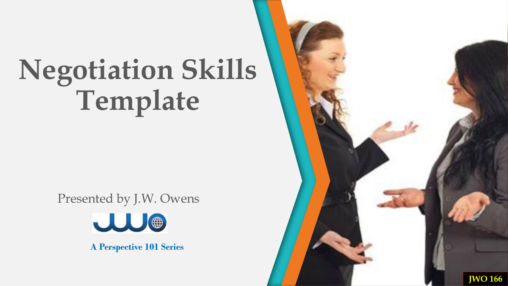Presented by J.W. Owens



**A Perspective 101 Series**

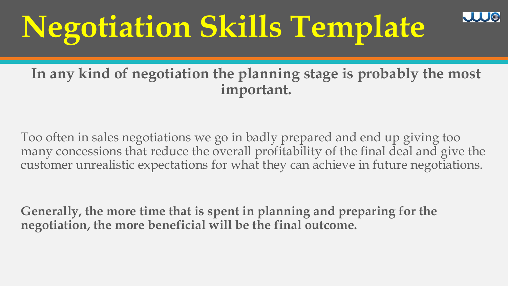#### **In any kind of negotiation the planning stage is probably the most important.**

Too often in sales negotiations we go in badly prepared and end up giving too many concessions that reduce the overall profitability of the final deal and give the customer unrealistic expectations for what they can achieve in future negotiations.

**Generally, the more time that is spent in planning and preparing for the negotiation, the more beneficial will be the final outcome.**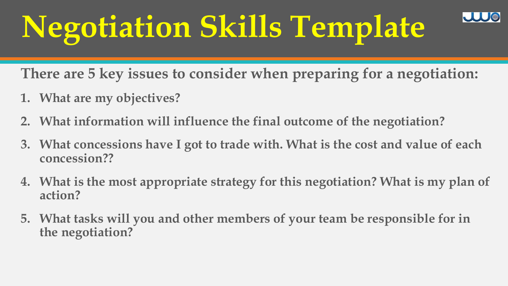**There are 5 key issues to consider when preparing for a negotiation:** 

- **1. What are my objectives?**
- **2. What information will influence the final outcome of the negotiation?**
- **3. What concessions have I got to trade with. What is the cost and value of each concession??**
- **4. What is the most appropriate strategy for this negotiation? What is my plan of action?**
- **5. What tasks will you and other members of your team be responsible for in the negotiation?**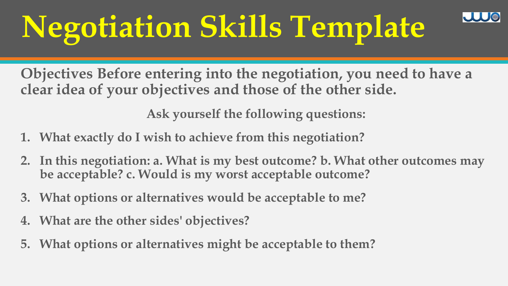**Objectives Before entering into the negotiation, you need to have a clear idea of your objectives and those of the other side.** 

**Ask yourself the following questions:** 

- **1. What exactly do I wish to achieve from this negotiation?**
- **2. In this negotiation: a. What is my best outcome? b. What other outcomes may be acceptable? c. Would is my worst acceptable outcome?**
- **3. What options or alternatives would be acceptable to me?**
- **4. What are the other sides' objectives?**
- **5. What options or alternatives might be acceptable to them?**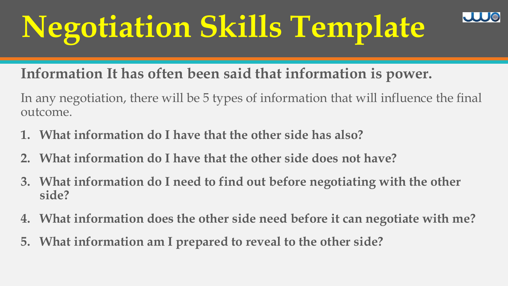**Information It has often been said that information is power.** 

In any negotiation, there will be 5 types of information that will influence the final outcome.

- **1. What information do I have that the other side has also?**
- **2. What information do I have that the other side does not have?**
- **3. What information do I need to find out before negotiating with the other side?**
- **4. What information does the other side need before it can negotiate with me?**
- **5. What information am I prepared to reveal to the other side?**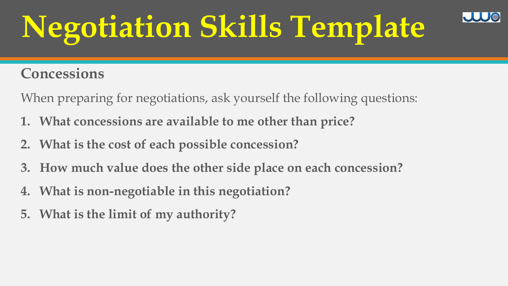### **Concessions**

When preparing for negotiations, ask yourself the following questions:

- **1. What concessions are available to me other than price?**
- **2. What is the cost of each possible concession?**
- **3. How much value does the other side place on each concession?**
- **4. What is non-negotiable in this negotiation?**
- **5. What is the limit of my authority?**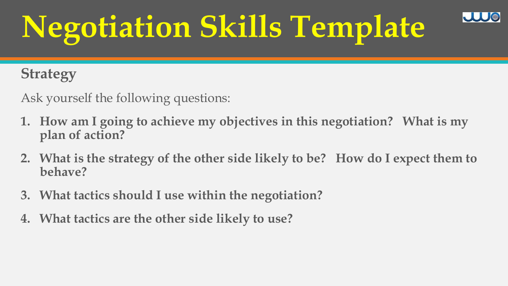### **Strategy**

Ask yourself the following questions:

- **1. How am I going to achieve my objectives in this negotiation? What is my plan of action?**
- **2. What is the strategy of the other side likely to be? How do I expect them to behave?**
- **3. What tactics should I use within the negotiation?**
- **4. What tactics are the other side likely to use?**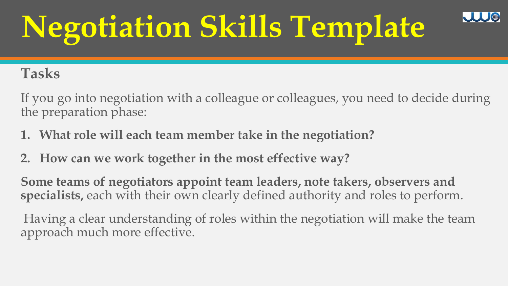#### **Tasks**

If you go into negotiation with a colleague or colleagues, you need to decide during the preparation phase:

- **1. What role will each team member take in the negotiation?**
- **2. How can we work together in the most effective way?**

**Some teams of negotiators appoint team leaders, note takers, observers and specialists,** each with their own clearly defined authority and roles to perform.

Having a clear understanding of roles within the negotiation will make the team approach much more effective.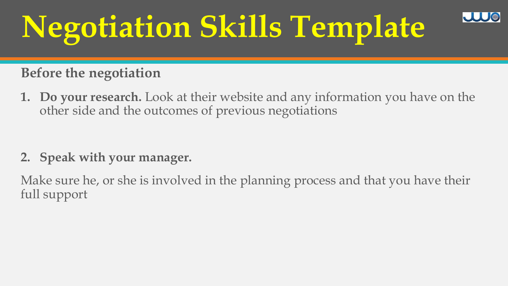#### **Before the negotiation**

**1. Do your research.** Look at their website and any information you have on the other side and the outcomes of previous negotiations

#### **2. Speak with your manager.**

Make sure he, or she is involved in the planning process and that you have their full support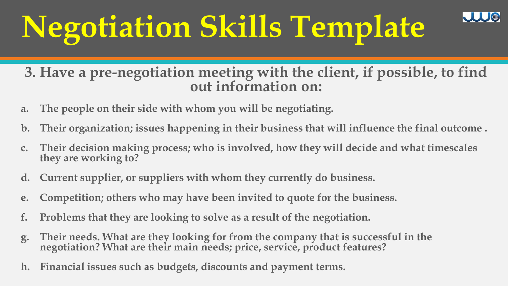**3. Have a pre-negotiation meeting with the client, if possible, to find out information on:** 

- **a. The people on their side with whom you will be negotiating.**
- **b. Their organization; issues happening in their business that will influence the final outcome .**
- **c. Their decision making process; who is involved, how they will decide and what timescales they are working to?**
- **d. Current supplier, or suppliers with whom they currently do business.**
- **e. Competition; others who may have been invited to quote for the business.**
- **f. Problems that they are looking to solve as a result of the negotiation.**
- **g. Their needs. What are they looking for from the company that is successful in the negotiation? What are their main needs; price, service, product features?**
- **h. Financial issues such as budgets, discounts and payment terms.**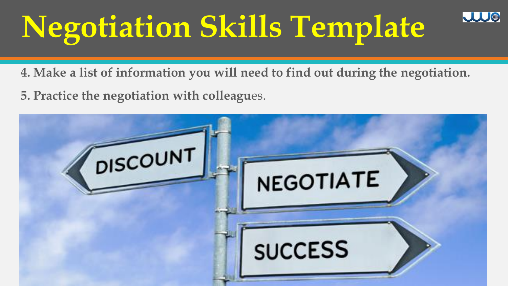**4. Make a list of information you will need to find out during the negotiation.** 

JUJ ®

**5. Practice the negotiation with colleagu**es.

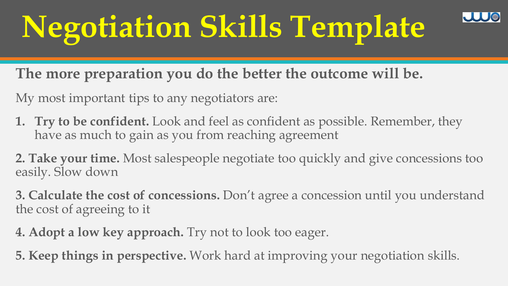**The more preparation you do the better the outcome will be.** 

My most important tips to any negotiators are:

- **1. Try to be confident.** Look and feel as confident as possible. Remember, they have as much to gain as you from reaching agreement
- **2. Take your time.** Most salespeople negotiate too quickly and give concessions too easily. Slow down

**3. Calculate the cost of concessions.** Don't agree a concession until you understand the cost of agreeing to it

- **4. Adopt a low key approach.** Try not to look too eager.
- **5. Keep things in perspective.** Work hard at improving your negotiation skills.